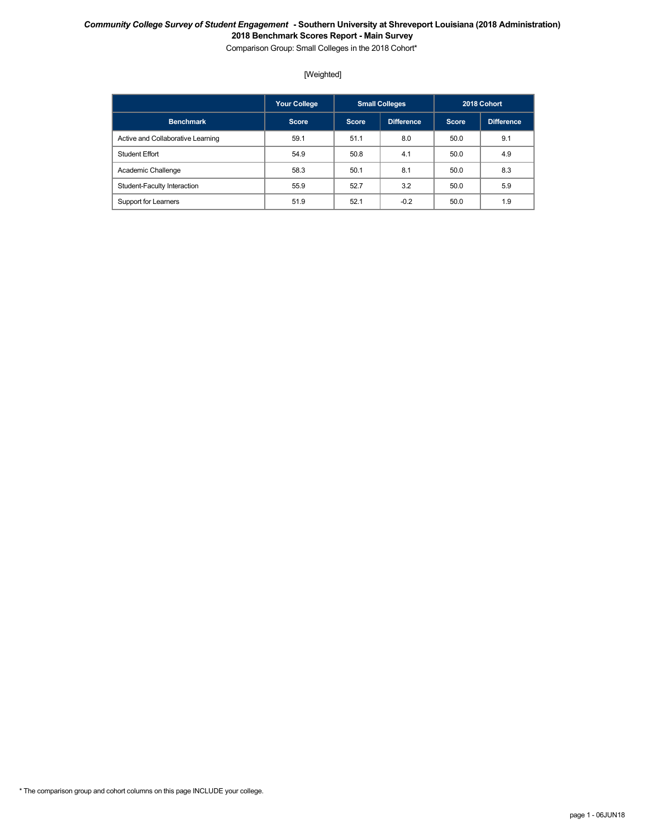Comparison Group: Small Colleges in the 2018 Cohort\*

### [Weighted]

|                                   | <b>Your College</b> |              | <b>Small Colleges</b> |              | 2018 Cohort |
|-----------------------------------|---------------------|--------------|-----------------------|--------------|-------------|
| <b>Benchmark</b>                  | <b>Score</b>        | <b>Score</b> | Difference            | <b>Score</b> | Difference  |
| Active and Collaborative Learning | 59.1                | 51.1         | 8.0                   | 50.0         | 9.1         |
| Student Effort                    | 54.9                | 50.8         | 4.1                   | 50.0         | 4.9         |
| Academic Challenge                | 58.3                | 50.1         | 8.1                   | 50.0         | 8.3         |
| Student-Faculty Interaction       | 55.9                | 52.7         | 3.2                   | 50.0         | 5.9         |
| Support for Learners              | 51.9                | 52.1         | $-0.2$                | 50.0         | 1.9         |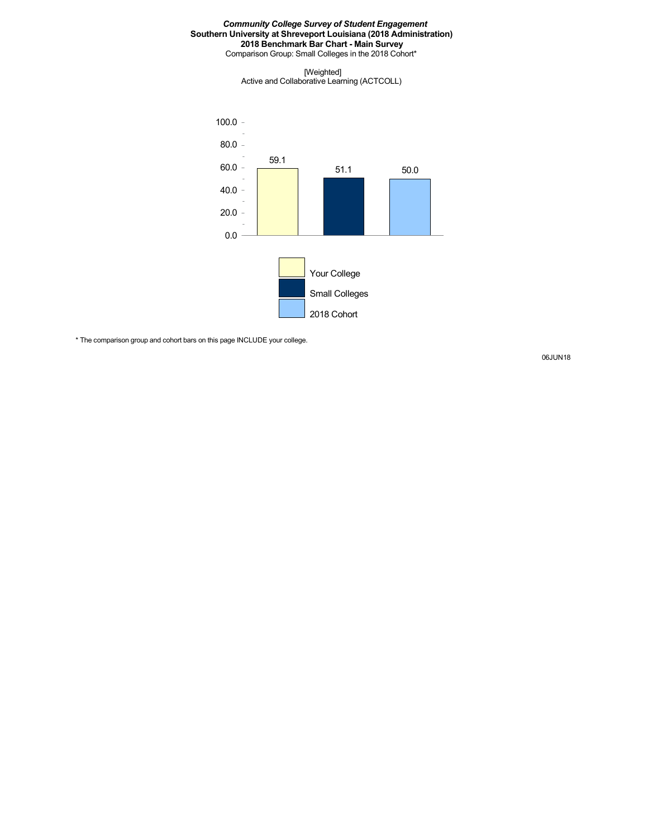Comparison Group: Small Colleges in the 2018 Cohort\*

[Weighted] Active and Collaborative Learning (ACTCOLL)



\* The comparison group and cohort bars on this page INCLUDE your college.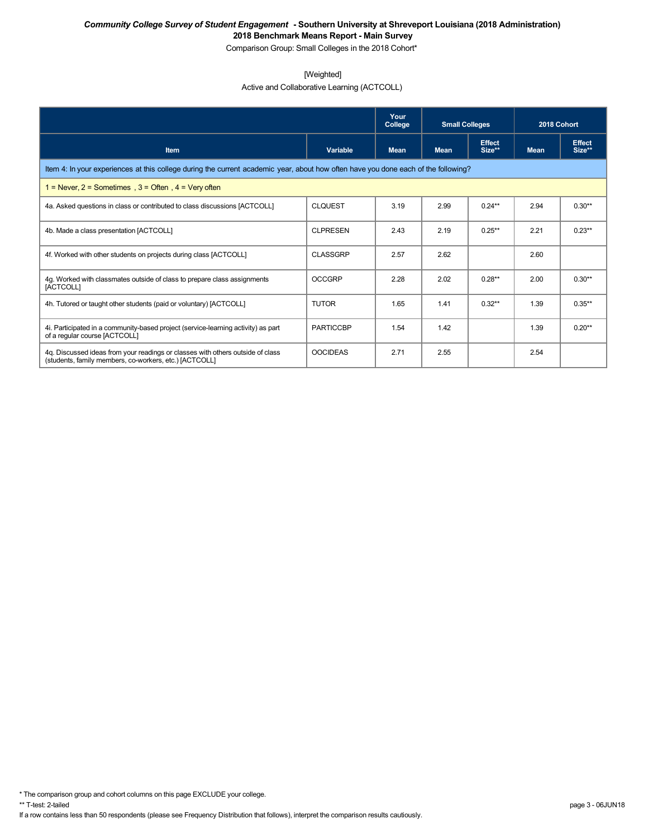Comparison Group: Small Colleges in the 2018 Cohort\*

### [Weighted]

Active and Collaborative Learning (ACTCOLL)

|                                                                                                                                          |                  | Your<br>College | <b>Small Colleges</b> |                         | 2018 Cohort |                         |  |  |  |
|------------------------------------------------------------------------------------------------------------------------------------------|------------------|-----------------|-----------------------|-------------------------|-------------|-------------------------|--|--|--|
| <b>Item</b>                                                                                                                              | Variable         | <b>Mean</b>     | <b>Mean</b>           | <b>Effect</b><br>Size** | <b>Mean</b> | <b>Effect</b><br>Size** |  |  |  |
| Item 4: In your experiences at this college during the current academic year, about how often have you done each of the following?       |                  |                 |                       |                         |             |                         |  |  |  |
| 1 = Never, $2$ = Sometimes, $3$ = Often, $4$ = Very often                                                                                |                  |                 |                       |                         |             |                         |  |  |  |
| 4a. Asked questions in class or contributed to class discussions [ACTCOLL]                                                               | <b>CLOUEST</b>   | 3.19            | 2.99                  | $0.24**$                | 2.94        | $0.30**$                |  |  |  |
| 4b. Made a class presentation [ACTCOLL]                                                                                                  | <b>CLPRESEN</b>  | 2.43            | 2.19                  | $0.25***$               | 2.21        | $0.23**$                |  |  |  |
| 4f. Worked with other students on projects during class [ACTCOLL]                                                                        | <b>CLASSGRP</b>  | 2.57            | 2.62                  |                         | 2.60        |                         |  |  |  |
| 4g. Worked with classmates outside of class to prepare class assignments<br>[ACTCOLL]                                                    | <b>OCCGRP</b>    | 2.28            | 2.02                  | $0.28**$                | 2.00        | $0.30**$                |  |  |  |
| 4h. Tutored or taught other students (paid or voluntary) [ACTCOLL]                                                                       | <b>TUTOR</b>     | 1.65            | 1.41                  | $0.32**$                | 1.39        | $0.35***$               |  |  |  |
| 4. Participated in a community-based project (service-learning activity) as part<br>of a regular course [ACTCOLL]                        | <b>PARTICCBP</b> | 1.54            | 1.42                  |                         | 1.39        | $0.20**$                |  |  |  |
| 4q. Discussed ideas from your readings or classes with others outside of class<br>(students, family members, co-workers, etc.) [ACTCOLL] | <b>OOCIDEAS</b>  | 2.71            | 2.55                  |                         | 2.54        |                         |  |  |  |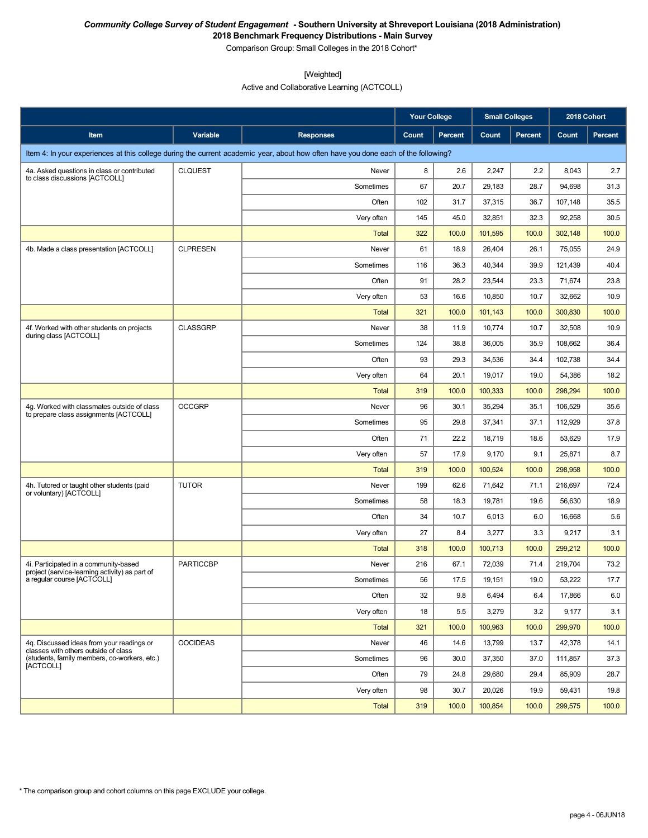Comparison Group: Small Colleges in the 2018 Cohort\*

[Weighted]

Active and Collaborative Learning (ACTCOLL)

|                                                                                         |                  |                                                                                                                                    | Your College |                | <b>Small Colleges</b> |                | 2018 Cohort |         |
|-----------------------------------------------------------------------------------------|------------------|------------------------------------------------------------------------------------------------------------------------------------|--------------|----------------|-----------------------|----------------|-------------|---------|
| Item                                                                                    | <b>Variable</b>  | <b>Responses</b>                                                                                                                   | Count        | <b>Percent</b> | Count                 | <b>Percent</b> | Count       | Percent |
|                                                                                         |                  | Item 4: In your experiences at this college during the current academic year, about how often have you done each of the following? |              |                |                       |                |             |         |
| 4a. Asked questions in class or contributed                                             | <b>CLQUEST</b>   | Never                                                                                                                              | 8            | 2.6            | 2,247                 | 2.2            | 8,043       | 2.7     |
| to class discussions [ACTCOLL]                                                          |                  | Sometimes                                                                                                                          | 67           | 20.7           | 29,183                | 28.7           | 94,698      | 31.3    |
|                                                                                         |                  | Often                                                                                                                              | 102          | 31.7           | 37,315                | 36.7           | 107,148     | 35.5    |
|                                                                                         |                  | Very often                                                                                                                         | 145          | 45.0           | 32,851                | 32.3           | 92,258      | 30.5    |
|                                                                                         |                  | Total                                                                                                                              | 322          | 100.0          | 101,595               | 100.0          | 302,148     | 100.0   |
| 4b. Made a class presentation [ACTCOLL]                                                 | <b>CLPRESEN</b>  | Never                                                                                                                              | 61           | 18.9           | 26,404                | 26.1           | 75,055      | 24.9    |
|                                                                                         |                  | Sometimes                                                                                                                          | 116          | 36.3           | 40,344                | 39.9           | 121,439     | 40.4    |
|                                                                                         |                  | Often                                                                                                                              | 91           | 28.2           | 23,544                | 23.3           | 71,674      | 23.8    |
|                                                                                         |                  | Very often                                                                                                                         | 53           | 16.6           | 10,850                | 10.7           | 32,662      | 10.9    |
|                                                                                         |                  | <b>Total</b>                                                                                                                       | 321          | 100.0          | 101,143               | 100.0          | 300,830     | 100.0   |
| 4f. Worked with other students on projects<br>during class [ACTCOLL]                    | <b>CLASSGRP</b>  | Never                                                                                                                              | 38           | 11.9           | 10,774                | 10.7           | 32,508      | 10.9    |
|                                                                                         |                  | Sometimes                                                                                                                          | 124          | 38.8           | 36,005                | 35.9           | 108,662     | 36.4    |
|                                                                                         |                  | Often                                                                                                                              | 93           | 29.3           | 34,536                | 34.4           | 102,738     | 34.4    |
|                                                                                         |                  | Very often                                                                                                                         | 64           | 20.1           | 19,017                | 19.0           | 54,386      | 18.2    |
|                                                                                         |                  | Total                                                                                                                              | 319          | 100.0          | 100.333               | 100.0          | 298,294     | 100.0   |
| 4q. Worked with classmates outside of class<br>to prepare class assignments [ACTCOLL]   | <b>OCCGRP</b>    | Never                                                                                                                              | 96           | 30.1           | 35,294                | 35.1           | 106,529     | 35.6    |
|                                                                                         |                  | Sometimes                                                                                                                          | 95           | 29.8           | 37,341                | 37.1           | 112,929     | 37.8    |
|                                                                                         |                  | Often                                                                                                                              | 71           | 22.2           | 18,719                | 18.6           | 53,629      | 17.9    |
|                                                                                         |                  | Very often                                                                                                                         | 57           | 17.9           | 9,170                 | 9.1            | 25,871      | 8.7     |
|                                                                                         |                  | Total                                                                                                                              | 319          | 100.0          | 100,524               | 100.0          | 298,958     | 100.0   |
| 4h. Tutored or taught other students (paid<br>or voluntary) [ACTCOLL]                   | <b>TUTOR</b>     | Never                                                                                                                              | 199          | 62.6           | 71,642                | 71.1           | 216,697     | 72.4    |
|                                                                                         |                  | Sometimes                                                                                                                          | 58           | 18.3           | 19,781                | 19.6           | 56,630      | 18.9    |
|                                                                                         |                  | Often                                                                                                                              | 34           | 10.7           | 6,013                 | 6.0            | 16,668      | 5.6     |
|                                                                                         |                  | Very often                                                                                                                         | 27           | 8.4            | 3,277                 | 3.3            | 9,217       | 3.1     |
|                                                                                         |                  | Total                                                                                                                              | 318          | 100.0          | 100,713               | 100.0          | 299,212     | 100.0   |
| 4i. Participated in a community-based<br>project (service-learning activity) as part of | <b>PARTICCBP</b> | Never                                                                                                                              | 216          | 67.1           | 72,039                | 71.4           | 219,704     | 73.2    |
| a regular course [ACTCOLL]                                                              |                  | Sometimes                                                                                                                          | 56           | 17.5           | 19,151                | 19.0           | 53,222      | 17.7    |
|                                                                                         |                  | Often                                                                                                                              | 32           | 9.8            | 6,494                 | 6.4            | 17,866      | 6.0     |
|                                                                                         |                  | Very often                                                                                                                         | 18           | 5.5            | 3,279                 | 3.2            | 9,177       | 3.1     |
|                                                                                         |                  | <b>Total</b>                                                                                                                       | 321          | 100.0          | 100,963               | 100.0          | 299,970     | 100.0   |
| 4q. Discussed ideas from your readings or<br>classes with others outside of class       | <b>OOCIDEAS</b>  | Never                                                                                                                              | 46           | 14.6           | 13,799                | 13.7           | 42,378      | 14.1    |
| (students, family members, co-workers, etc.)<br>[ACTCOLL]                               |                  | Sometimes                                                                                                                          | 96           | 30.0           | 37,350                | 37.0           | 111,857     | 37.3    |
|                                                                                         |                  | Often                                                                                                                              | 79           | 24.8           | 29,680                | 29.4           | 85,909      | 28.7    |
|                                                                                         |                  | Very often                                                                                                                         | 98           | 30.7           | 20,026                | 19.9           | 59,431      | 19.8    |
|                                                                                         |                  | Total                                                                                                                              | 319          | 100.0          | 100,854               | 100.0          | 299,575     | 100.0   |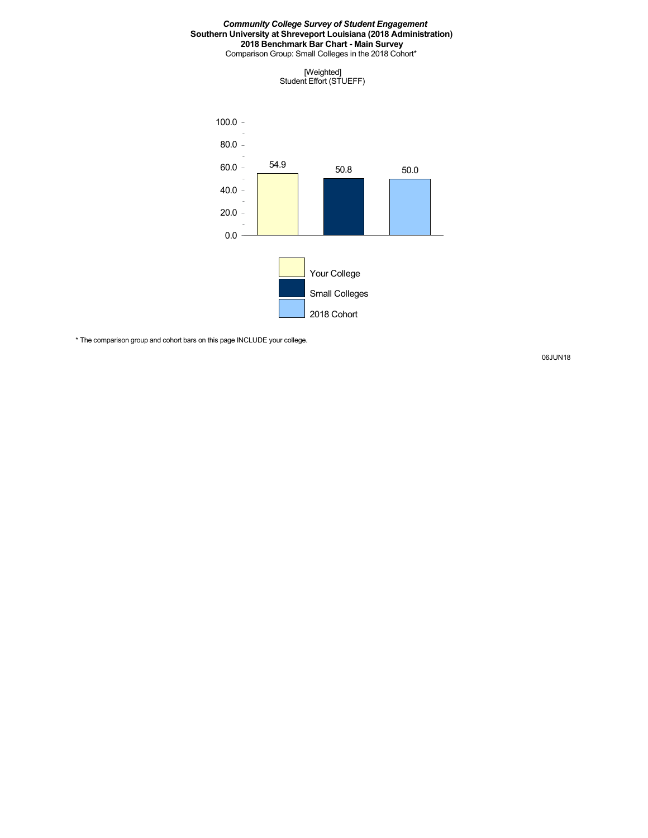Comparison Group: Small Colleges in the 2018 Cohort\*





\* The comparison group and cohort bars on this page INCLUDE your college.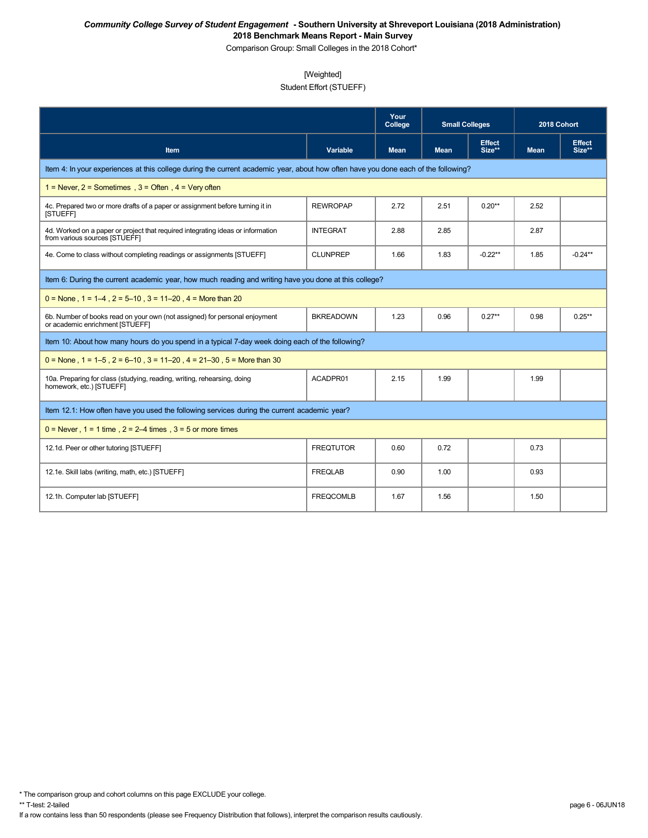Comparison Group: Small Colleges in the 2018 Cohort\*

# [Weighted]

# Student Effort (STUEFF)

|                                                                                                                                    |                  | Your<br>College | <b>Small Colleges</b> |                         | 2018 Cohort |                         |
|------------------------------------------------------------------------------------------------------------------------------------|------------------|-----------------|-----------------------|-------------------------|-------------|-------------------------|
| Item                                                                                                                               | <b>Variable</b>  | <b>Mean</b>     | <b>Mean</b>           | <b>Effect</b><br>Size** | <b>Mean</b> | <b>Effect</b><br>Size** |
| Item 4: In your experiences at this college during the current academic year, about how often have you done each of the following? |                  |                 |                       |                         |             |                         |
| 1 = Never, $2$ = Sometimes, $3$ = Often, $4$ = Very often                                                                          |                  |                 |                       |                         |             |                         |
| 4c. Prepared two or more drafts of a paper or assignment before turning it in<br>[STUEFF]                                          | <b>REWROPAP</b>  | 2.72            | 2.51                  | $0.20**$                | 2.52        |                         |
| 4d. Worked on a paper or project that required integrating ideas or information<br>from various sources [STUEFF]                   | <b>INTEGRAT</b>  | 2.88            | 2.85                  |                         | 2.87        |                         |
| 4e. Come to class without completing readings or assignments [STUEFF]                                                              | <b>CLUNPREP</b>  | 1.66            | 1.83                  | $-0.22**$               | 1.85        | $-0.24**$               |
| Item 6: During the current academic year, how much reading and writing have you done at this college?                              |                  |                 |                       |                         |             |                         |
| $0 =$ None, $1 = 1-4$ , $2 = 5-10$ , $3 = 11-20$ , $4 =$ More than 20                                                              |                  |                 |                       |                         |             |                         |
| 6b. Number of books read on your own (not assigned) for personal enjoyment<br>or academic enrichment [STUEFF]                      | <b>BKREADOWN</b> | 1.23            | 0.96                  | $0.27**$                | 0.98        | $0.25**$                |
| Item 10: About how many hours do you spend in a typical 7-day week doing each of the following?                                    |                  |                 |                       |                         |             |                         |
| $0 =$ None, 1 = 1–5, 2 = 6–10, 3 = 11–20, 4 = 21–30, 5 = More than 30                                                              |                  |                 |                       |                         |             |                         |
| 10a. Preparing for class (studying, reading, writing, rehearsing, doing<br>homework, etc.) [STUEFF]                                | ACADPR01         | 2.15            | 1.99                  |                         | 1.99        |                         |
| Item 12.1: How often have you used the following services during the current academic year?                                        |                  |                 |                       |                         |             |                         |
| $0 =$ Never, $1 = 1$ time, $2 = 2-4$ times, $3 = 5$ or more times                                                                  |                  |                 |                       |                         |             |                         |
| 12.1d. Peer or other tutoring [STUEFF]                                                                                             | <b>FREQTUTOR</b> | 0.60            | 0.72                  |                         | 0.73        |                         |
| 12.1e. Skill labs (writing, math, etc.) [STUEFF]                                                                                   | <b>FREQLAB</b>   | 0.90            | 1.00                  |                         | 0.93        |                         |
| 12.1h. Computer lab [STUEFF]                                                                                                       | <b>FREQCOMLB</b> | 1.67            | 1.56                  |                         | 1.50        |                         |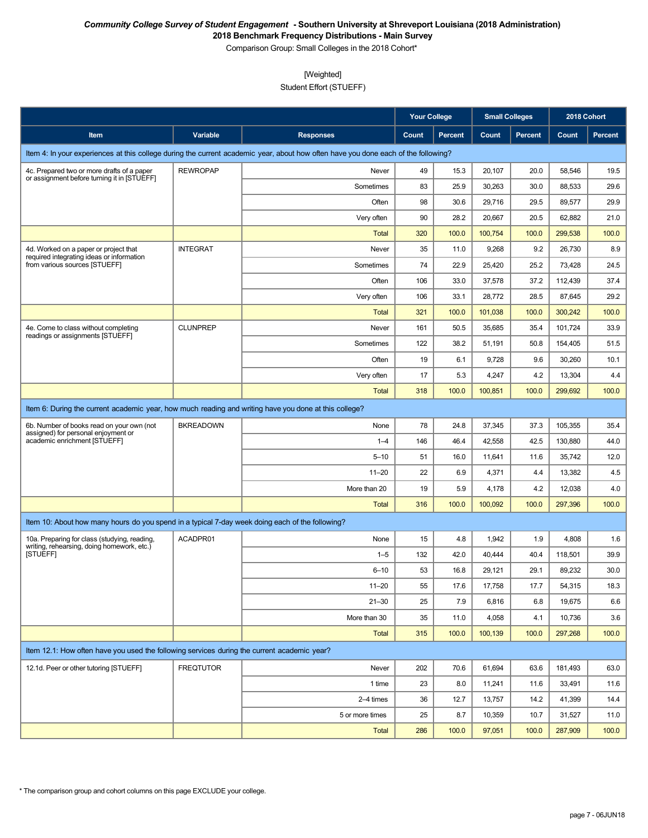Comparison Group: Small Colleges in the 2018 Cohort\*

### [Weighted]

Student Effort (STUEFF)

|                                                                                                       |                  |                                                                                                                                    | Your College |                | <b>Small Colleges</b> |                | 2018 Cohort |                |
|-------------------------------------------------------------------------------------------------------|------------------|------------------------------------------------------------------------------------------------------------------------------------|--------------|----------------|-----------------------|----------------|-------------|----------------|
| Item                                                                                                  | Variable         | <b>Responses</b>                                                                                                                   | Count        | <b>Percent</b> | Count                 | <b>Percent</b> | Count       | <b>Percent</b> |
|                                                                                                       |                  | Item 4: In your experiences at this college during the current academic year, about how often have you done each of the following? |              |                |                       |                |             |                |
| 4c. Prepared two or more drafts of a paper                                                            | <b>REWROPAP</b>  | Never                                                                                                                              | 49           | 15.3           | 20,107                | 20.0           | 58,546      | 19.5           |
| or assignment before turning it in [STUEFF]                                                           |                  | Sometimes                                                                                                                          | 83           | 25.9           | 30,263                | 30.0           | 88,533      | 29.6           |
|                                                                                                       |                  | Often                                                                                                                              | 98           | 30.6           | 29,716                | 29.5           | 89,577      | 29.9           |
|                                                                                                       |                  | Very often                                                                                                                         | 90           | 28.2           | 20,667                | 20.5           | 62,882      | 21.0           |
|                                                                                                       |                  | Total                                                                                                                              | 320          | 100.0          | 100,754               | 100.0          | 299,538     | 100.0          |
| 4d. Worked on a paper or project that<br>required integrating ideas or information                    | <b>INTEGRAT</b>  | Never                                                                                                                              | 35           | 11.0           | 9,268                 | 9.2            | 26,730      | 8.9            |
| from various sources [STUEFF]                                                                         |                  | Sometimes                                                                                                                          | 74           | 22.9           | 25,420                | 25.2           | 73,428      | 24.5           |
|                                                                                                       |                  | Often                                                                                                                              | 106          | 33.0           | 37,578                | 37.2           | 112,439     | 37.4           |
|                                                                                                       |                  | Very often                                                                                                                         | 106          | 33.1           | 28,772                | 28.5           | 87,645      | 29.2           |
|                                                                                                       |                  | <b>Total</b>                                                                                                                       | 321          | 100.0          | 101,038               | 100.0          | 300,242     | 100.0          |
| 4e. Come to class without completing<br>readings or assignments [STUEFF]                              | <b>CLUNPREP</b>  | Never                                                                                                                              | 161          | 50.5           | 35,685                | 35.4           | 101,724     | 33.9           |
|                                                                                                       |                  | Sometimes                                                                                                                          | 122          | 38.2           | 51,191                | 50.8           | 154,405     | 51.5           |
|                                                                                                       |                  | Often                                                                                                                              | 19           | 6.1            | 9,728                 | 9.6            | 30,260      | 10.1           |
|                                                                                                       |                  | Very often                                                                                                                         | 17           | 5.3            | 4,247                 | 4.2            | 13,304      | 4.4            |
|                                                                                                       |                  | <b>Total</b>                                                                                                                       | 318          | 100.0          | 100,851               | 100.0          | 299,692     | 100.0          |
| Item 6: During the current academic year, how much reading and writing have you done at this college? |                  |                                                                                                                                    |              |                |                       |                |             |                |
| 6b. Number of books read on your own (not                                                             | <b>BKREADOWN</b> | None                                                                                                                               | 78           | 24.8           | 37,345                | 37.3           | 105,355     | 35.4           |
| assigned) for personal enjoyment or<br>academic enrichment [STUEFF]                                   |                  | $1 - 4$                                                                                                                            | 146          | 46.4           | 42,558                | 42.5           | 130,880     | 44.0           |
|                                                                                                       |                  | $5 - 10$                                                                                                                           | 51           | 16.0           | 11,641                | 11.6           | 35,742      | 12.0           |
|                                                                                                       |                  | $11 - 20$                                                                                                                          | 22           | 6.9            | 4,371                 | 4.4            | 13,382      | 4.5            |
|                                                                                                       |                  | More than 20                                                                                                                       | 19           | 5.9            | 4,178                 | 4.2            | 12,038      | 4.0            |
|                                                                                                       |                  | <b>Total</b>                                                                                                                       | 316          | 100.0          | 100,092               | 100.0          | 297,396     | 100.0          |
| Item 10: About how many hours do you spend in a typical 7-day week doing each of the following?       |                  |                                                                                                                                    |              |                |                       |                |             |                |
| 10a. Preparing for class (studying, reading,                                                          | ACADPR01         | None                                                                                                                               | 15           | 4.8            | 1,942                 | 1.9            | 4,808       | 1.6            |
| writing, rehearsing, doing homework, etc.)<br>[STUEFF]                                                |                  | $1 - 5$                                                                                                                            | 132          | 42.0           | 40,444                | 40.4           | 118.501     | 39.9           |
|                                                                                                       |                  | $6 - 10$                                                                                                                           | 53           | 16.8           | 29,121                | 29.1           | 89,232      | 30.0           |
|                                                                                                       |                  | $11 - 20$                                                                                                                          | 55           | 17.6           | 17,758                | 17.7           | 54,315      | 18.3           |
|                                                                                                       |                  | $21 - 30$                                                                                                                          | 25           | 7.9            | 6,816                 | 6.8            | 19,675      | 6.6            |
|                                                                                                       |                  | More than 30                                                                                                                       | 35           | 11.0           | 4,058                 | 4.1            | 10,736      | 3.6            |
|                                                                                                       |                  | <b>Total</b>                                                                                                                       | 315          | 100.0          | 100,139               | 100.0          | 297,268     | 100.0          |
| Item 12.1: How often have you used the following services during the current academic year?           |                  |                                                                                                                                    |              |                |                       |                |             |                |
| 12.1d. Peer or other tutoring [STUEFF]                                                                | <b>FREQTUTOR</b> | Never                                                                                                                              | 202          | 70.6           | 61,694                | 63.6           | 181,493     | 63.0           |
|                                                                                                       |                  | 1 time                                                                                                                             | 23           | 8.0            | 11,241                | 11.6           | 33,491      | 11.6           |
|                                                                                                       |                  | 2-4 times                                                                                                                          | 36           | 12.7           | 13,757                | 14.2           | 41,399      | 14.4           |
|                                                                                                       |                  | 5 or more times                                                                                                                    | 25           | 8.7            | 10,359                | 10.7           | 31,527      | 11.0           |
|                                                                                                       |                  | <b>Total</b>                                                                                                                       | 286          | 100.0          | 97,051                | 100.0          | 287,909     | 100.0          |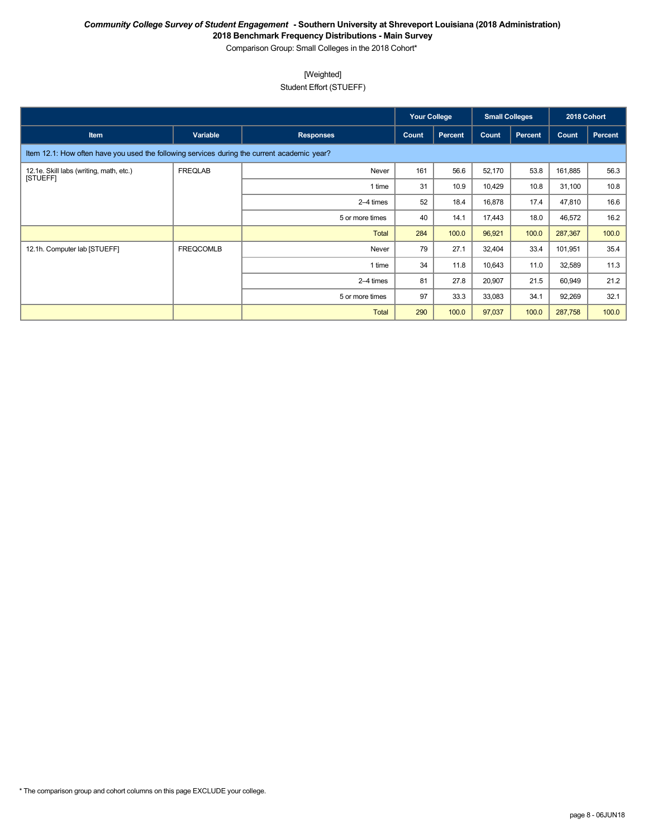Comparison Group: Small Colleges in the 2018 Cohort\*

### [Weighted]

Student Effort (STUEFF)

|                                                                                             |                  |                  | <b>Your College</b> |         | <b>Small Colleges</b> |                | 2018 Cohort |         |
|---------------------------------------------------------------------------------------------|------------------|------------------|---------------------|---------|-----------------------|----------------|-------------|---------|
| <b>Item</b>                                                                                 | Variable         | <b>Responses</b> | Count               | Percent | Count                 | <b>Percent</b> | Count       | Percent |
| Item 12.1: How often have you used the following services during the current academic year? |                  |                  |                     |         |                       |                |             |         |
| 12.1e. Skill labs (writing, math, etc.)<br>[STUEFF]                                         | <b>FREQLAB</b>   | Never            | 161                 | 56.6    | 52,170                | 53.8           | 161,885     | 56.3    |
|                                                                                             |                  | 1 time           | 31                  | 10.9    | 10,429                | 10.8           | 31,100      | 10.8    |
|                                                                                             |                  | 2–4 times        | 52                  | 18.4    | 16,878                | 17.4           | 47,810      | 16.6    |
|                                                                                             |                  | 5 or more times  | 40                  | 14.1    | 17,443                | 18.0           | 46,572      | 16.2    |
|                                                                                             |                  | <b>Total</b>     | 284                 | 100.0   | 96,921                | 100.0          | 287,367     | 100.0   |
| 12.1h. Computer lab [STUEFF]                                                                | <b>FREQCOMLB</b> | Never            | 79                  | 27.1    | 32,404                | 33.4           | 101,951     | 35.4    |
|                                                                                             |                  | 1 time           | 34                  | 11.8    | 10,643                | 11.0           | 32,589      | 11.3    |
|                                                                                             |                  | 2-4 times        | 81                  | 27.8    | 20,907                | 21.5           | 60,949      | 21.2    |
|                                                                                             |                  | 5 or more times  | 97                  | 33.3    | 33,083                | 34.1           | 92,269      | 32.1    |
|                                                                                             |                  | <b>Total</b>     | 290                 | 100.0   | 97,037                | 100.0          | 287,758     | 100.0   |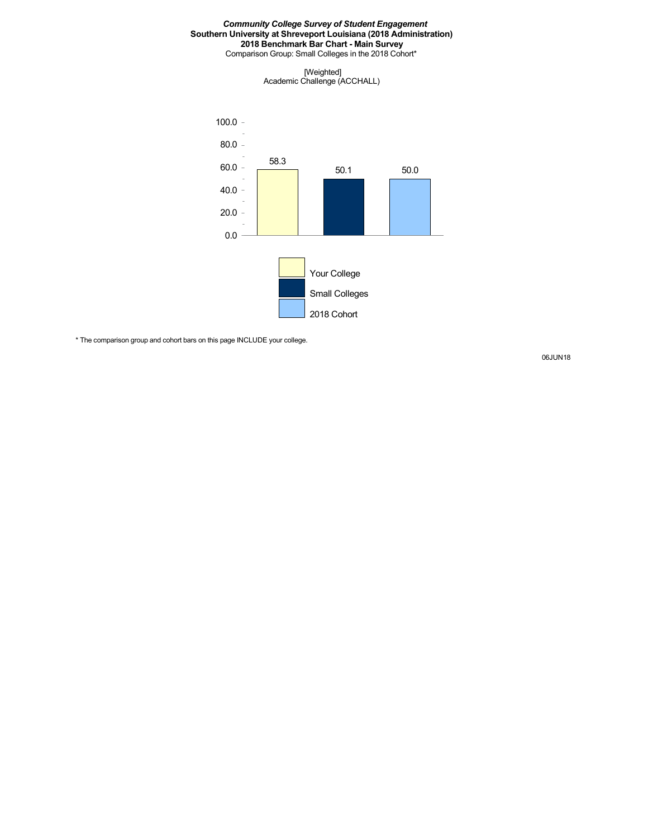Comparison Group: Small Colleges in the 2018 Cohort\*

[Weighted] Academic Challenge (ACCHALL)



\* The comparison group and cohort bars on this page INCLUDE your college.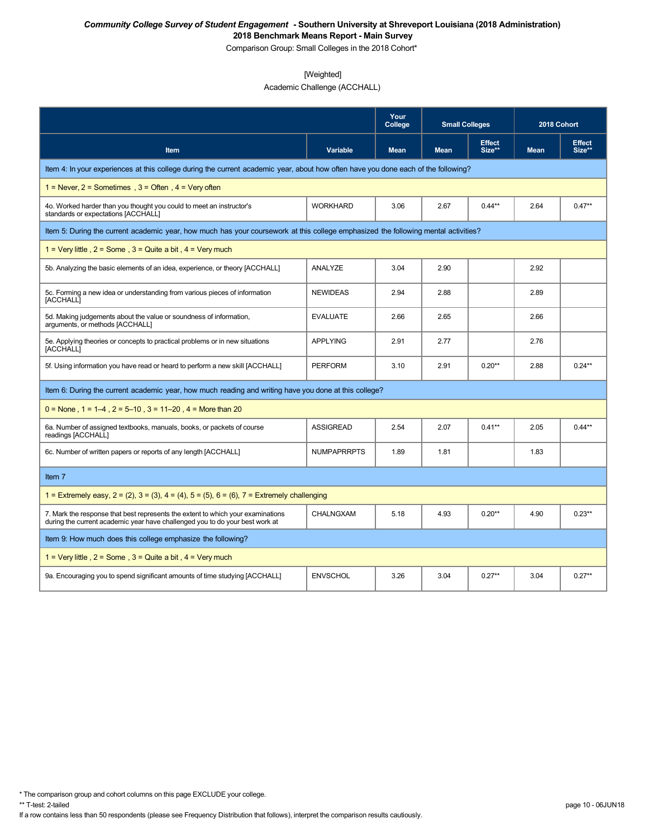Comparison Group: Small Colleges in the 2018 Cohort\*

# [Weighted]

Academic Challenge (ACCHALL)

|                                                                                                                                                                 |                    | Your<br>College | <b>Small Colleges</b> |                         | 2018 Cohort |                         |
|-----------------------------------------------------------------------------------------------------------------------------------------------------------------|--------------------|-----------------|-----------------------|-------------------------|-------------|-------------------------|
| Item                                                                                                                                                            | Variable           | <b>Mean</b>     | <b>Mean</b>           | <b>Effect</b><br>Size** | <b>Mean</b> | <b>Effect</b><br>Size** |
| Item 4: In your experiences at this college during the current academic year, about how often have you done each of the following?                              |                    |                 |                       |                         |             |                         |
| 1 = Never, $2$ = Sometimes, $3$ = Often, $4$ = Very often                                                                                                       |                    |                 |                       |                         |             |                         |
| 4o. Worked harder than you thought you could to meet an instructor's<br>standards or expectations [ACCHALL]                                                     | <b>WORKHARD</b>    | 3.06            | 2.67                  | $0.44***$               | 2.64        | $0.47**$                |
| Item 5: During the current academic year, how much has your coursework at this college emphasized the following mental activities?                              |                    |                 |                       |                         |             |                         |
| 1 = Very little, $2 =$ Some, $3 =$ Quite a bit, $4 =$ Very much                                                                                                 |                    |                 |                       |                         |             |                         |
| 5b. Analyzing the basic elements of an idea, experience, or theory [ACCHALL]                                                                                    | ANALYZE            | 3.04            | 2.90                  |                         | 2.92        |                         |
| 5c. Forming a new idea or understanding from various pieces of information<br>[ACCHALL]                                                                         | <b>NEWIDEAS</b>    | 2.94            | 2.88                  |                         | 2.89        |                         |
| 5d. Making judgements about the value or soundness of information,<br>arguments, or methods [ACCHALL]                                                           | <b>EVALUATE</b>    | 2.66            | 2.65                  |                         | 2.66        |                         |
| 5e. Applying theories or concepts to practical problems or in new situations<br>[ACCHALL]                                                                       | <b>APPLYING</b>    | 2.91            | 2.77                  |                         | 2.76        |                         |
| 5f. Using information you have read or heard to perform a new skill [ACCHALL]                                                                                   | <b>PERFORM</b>     | 3.10            | 2.91                  | $0.20**$                | 2.88        | $0.24**$                |
| Item 6: During the current academic year, how much reading and writing have you done at this college?                                                           |                    |                 |                       |                         |             |                         |
| $0 =$ None, 1 = 1–4, 2 = 5–10, 3 = 11–20, 4 = More than 20                                                                                                      |                    |                 |                       |                         |             |                         |
| 6a. Number of assigned textbooks, manuals, books, or packets of course<br>readings [ACCHALL]                                                                    | <b>ASSIGREAD</b>   | 2.54            | 2.07                  | $0.41**$                | 2.05        | $0.44***$               |
| 6c. Number of written papers or reports of any length [ACCHALL]                                                                                                 | <b>NUMPAPRRPTS</b> | 1.89            | 1.81                  |                         | 1.83        |                         |
| Item 7                                                                                                                                                          |                    |                 |                       |                         |             |                         |
| 1 = Extremely easy, $2 = (2)$ , $3 = (3)$ , $4 = (4)$ , $5 = (5)$ , $6 = (6)$ , $7 =$ Extremely challenging                                                     |                    |                 |                       |                         |             |                         |
| 7. Mark the response that best represents the extent to which your examinations<br>during the current academic year have challenged you to do your best work at | CHALNGXAM          | 5.18            | 4.93                  | $0.20**$                | 4.90        | $0.23**$                |
| Item 9: How much does this college emphasize the following?                                                                                                     |                    |                 |                       |                         |             |                         |
| 1 = Very little, $2 =$ Some, $3 =$ Quite a bit, $4 =$ Very much                                                                                                 |                    |                 |                       |                         |             |                         |
| 9a. Encouraging you to spend significant amounts of time studying [ACCHALL]                                                                                     | <b>ENVSCHOL</b>    | 3.26            | 3.04                  | $0.27**$                | 3.04        | $0.27**$                |

\* The comparison group and cohort columns on this page EXCLUDE your college.

If a row contains less than 50 respondents (please see Frequency Distribution that follows), interpret the comparison results cautiously.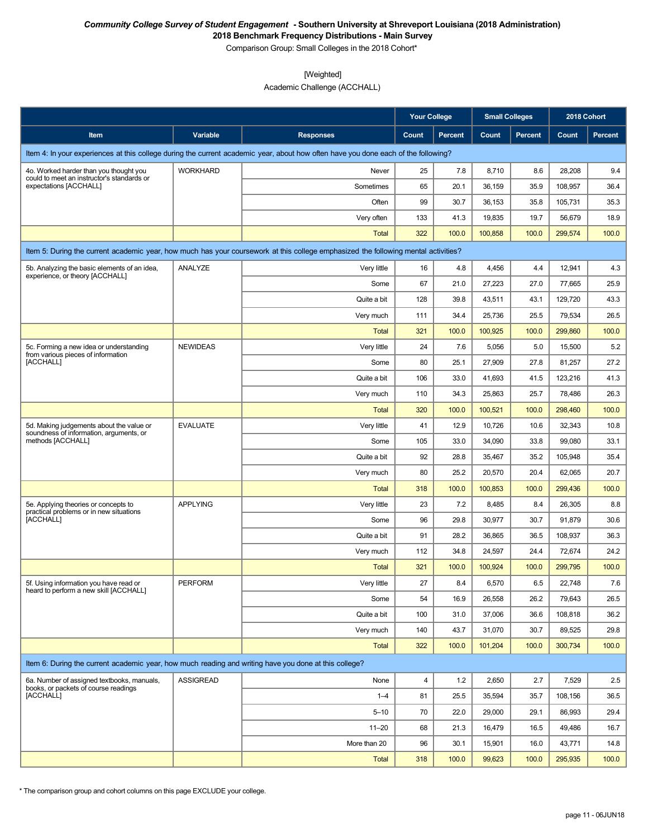Comparison Group: Small Colleges in the 2018 Cohort\*

### [Weighted]

Academic Challenge (ACCHALL)

|                                                                                                          |                  |                                                                                                                                    | <b>Your College</b> |                | <b>Small Colleges</b> |                | 2018 Cohort |         |
|----------------------------------------------------------------------------------------------------------|------------------|------------------------------------------------------------------------------------------------------------------------------------|---------------------|----------------|-----------------------|----------------|-------------|---------|
| Item                                                                                                     | Variable         | <b>Responses</b>                                                                                                                   | Count               | <b>Percent</b> | Count                 | <b>Percent</b> | Count       | Percent |
|                                                                                                          |                  | Item 4: In your experiences at this college during the current academic year, about how often have you done each of the following? |                     |                |                       |                |             |         |
| 4o. Worked harder than you thought you                                                                   | <b>WORKHARD</b>  | Never                                                                                                                              | 25                  | 7.8            | 8,710                 | 8.6            | 28,208      | 9.4     |
| could to meet an instructor's standards or<br>expectations [ACCHALL]                                     |                  | Sometimes                                                                                                                          | 65                  | 20.1           | 36,159                | 35.9           | 108,957     | 36.4    |
|                                                                                                          |                  | Often                                                                                                                              | 99                  | 30.7           | 36,153                | 35.8           | 105,731     | 35.3    |
|                                                                                                          |                  | Very often                                                                                                                         | 133                 | 41.3           | 19,835                | 19.7           | 56,679      | 18.9    |
|                                                                                                          |                  | Total                                                                                                                              | 322                 | 100.0          | 100,858               | 100.0          | 299,574     | 100.0   |
|                                                                                                          |                  | Item 5: During the current academic year, how much has your coursework at this college emphasized the following mental activities? |                     |                |                       |                |             |         |
| 5b. Analyzing the basic elements of an idea,                                                             | ANALYZE          | Very little                                                                                                                        | 16                  | 4.8            | 4,456                 | 4.4            | 12,941      | 4.3     |
| experience, or theory [ACCHALL]                                                                          |                  | Some                                                                                                                               | 67                  | 21.0           | 27,223                | 27.0           | 77,665      | 25.9    |
|                                                                                                          |                  | Quite a bit                                                                                                                        | 128                 | 39.8           | 43,511                | 43.1           | 129,720     | 43.3    |
|                                                                                                          |                  | Very much                                                                                                                          | 111                 | 34.4           | 25,736                | 25.5           | 79,534      | 26.5    |
|                                                                                                          |                  | Total                                                                                                                              | 321                 | 100.0          | 100,925               | 100.0          | 299,860     | 100.0   |
| 5c. Forming a new idea or understanding                                                                  | <b>NEWIDEAS</b>  | Very little                                                                                                                        | 24                  | 7.6            | 5,056                 | 5.0            | 15,500      | 5.2     |
| from various pieces of information<br>[ACCHALL]                                                          |                  | Some                                                                                                                               | 80                  | 25.1           | 27,909                | 27.8           | 81,257      | 27.2    |
|                                                                                                          |                  | Quite a bit                                                                                                                        | 106                 | 33.0           | 41,693                | 41.5           | 123,216     | 41.3    |
|                                                                                                          |                  | Very much                                                                                                                          | 110                 | 34.3           | 25,863                | 25.7           | 78,486      | 26.3    |
|                                                                                                          |                  | Total                                                                                                                              | 320                 | 100.0          | 100,521               | 100.0          | 298,460     | 100.0   |
| 5d. Making judgements about the value or<br>soundness of information, arguments, or<br>methods [ACCHALL] | <b>EVALUATE</b>  | Very little                                                                                                                        | 41                  | 12.9           | 10,726                | 10.6           | 32,343      | 10.8    |
|                                                                                                          |                  | Some                                                                                                                               | 105                 | 33.0           | 34,090                | 33.8           | 99,080      | 33.1    |
|                                                                                                          |                  | Quite a bit                                                                                                                        | 92                  | 28.8           | 35,467                | 35.2           | 105,948     | 35.4    |
|                                                                                                          |                  | Very much                                                                                                                          | 80                  | 25.2           | 20,570                | 20.4           | 62,065      | 20.7    |
|                                                                                                          |                  | Total                                                                                                                              | 318                 | 100.0          | 100,853               | 100.0          | 299,436     | 100.0   |
| 5e. Applying theories or concepts to                                                                     | <b>APPLYING</b>  | Very little                                                                                                                        | 23                  | 7.2            | 8,485                 | 8.4            | 26,305      | 8.8     |
| practical problems or in new situations<br>[ACCHALL]                                                     |                  | Some                                                                                                                               | 96                  | 29.8           | 30,977                | 30.7           | 91,879      | 30.6    |
|                                                                                                          |                  | Quite a bit                                                                                                                        | 91                  | 28.2           | 36,865                | 36.5           | 108,937     | 36.3    |
|                                                                                                          |                  | Very much                                                                                                                          | 112                 | 34.8           | 24,597                | 24.4           | 72,674      | 24.2    |
|                                                                                                          |                  | Total                                                                                                                              | 321                 | 100.0          | 100,924               | 100.0          | 299,795     | 100.0   |
| 5f. Using information you have read or                                                                   | PERFORM          | Very little                                                                                                                        | 27                  | 8.4            | 6,570                 | $6.5\,$        | 22,748      | $7.6\,$ |
| heard to perform a new skill [ACCHALL]                                                                   |                  | Some                                                                                                                               | 54                  | 16.9           | 26,558                | 26.2           | 79,643      | 26.5    |
|                                                                                                          |                  | Quite a bit                                                                                                                        | 100                 | 31.0           | 37,006                | 36.6           | 108,818     | 36.2    |
|                                                                                                          |                  | Very much                                                                                                                          | 140                 | 43.7           | 31,070                | 30.7           | 89,525      | 29.8    |
|                                                                                                          |                  | Total                                                                                                                              | 322                 | 100.0          | 101,204               | 100.0          | 300,734     | 100.0   |
| Item 6: During the current academic year, how much reading and writing have you done at this college?    |                  |                                                                                                                                    |                     |                |                       |                |             |         |
| 6a. Number of assigned textbooks, manuals,                                                               | <b>ASSIGREAD</b> | None                                                                                                                               | 4                   | 1.2            | 2,650                 | 2.7            | 7,529       | 2.5     |
| books, or packets of course readings<br>[ACCHALL]                                                        |                  | $1 - 4$                                                                                                                            | 81                  | 25.5           | 35,594                | 35.7           | 108,156     | 36.5    |
|                                                                                                          |                  | $5 - 10$                                                                                                                           | 70                  | 22.0           | 29,000                | 29.1           | 86,993      | 29.4    |
|                                                                                                          |                  | $11 - 20$                                                                                                                          | 68                  | 21.3           | 16,479                | 16.5           | 49,486      | 16.7    |
|                                                                                                          |                  | More than 20                                                                                                                       | 96                  | 30.1           | 15,901                | 16.0           | 43,771      | 14.8    |
|                                                                                                          |                  | Total                                                                                                                              | 318                 | 100.0          | 99,623                | 100.0          | 295,935     | 100.0   |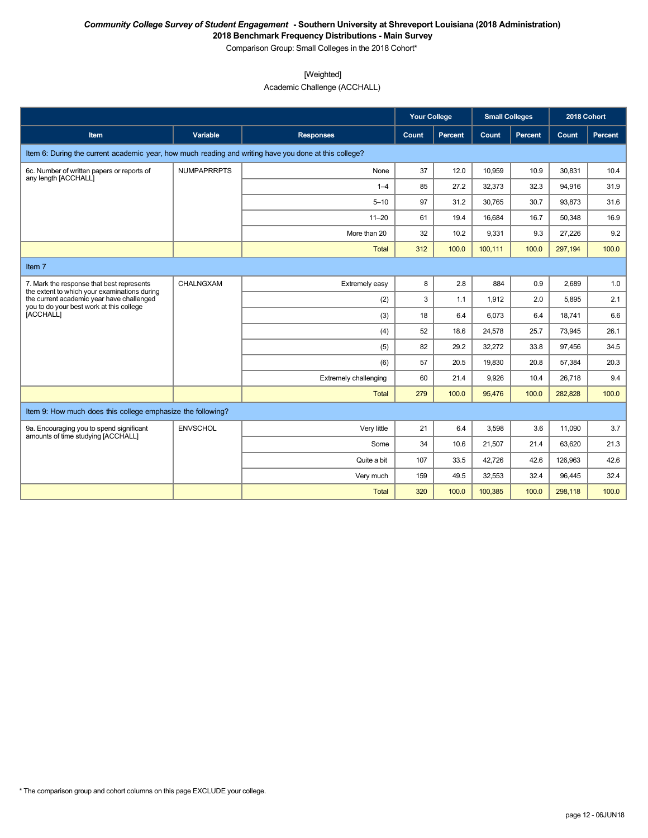Comparison Group: Small Colleges in the 2018 Cohort\*

[Weighted]

Academic Challenge (ACCHALL)

|                                                                                                       |                    |                       | <b>Your College</b> |                | <b>Small Colleges</b> |                | 2018 Cohort |         |
|-------------------------------------------------------------------------------------------------------|--------------------|-----------------------|---------------------|----------------|-----------------------|----------------|-------------|---------|
| Item                                                                                                  | Variable           | <b>Responses</b>      | Count               | <b>Percent</b> | Count                 | <b>Percent</b> | Count       | Percent |
| Item 6: During the current academic year, how much reading and writing have you done at this college? |                    |                       |                     |                |                       |                |             |         |
| 6c. Number of written papers or reports of<br>any length [ACCHALL]                                    | <b>NUMPAPRRPTS</b> | None                  | 37                  | 12.0           | 10,959                | 10.9           | 30.831      | 10.4    |
|                                                                                                       |                    | $1 - 4$               | 85                  | 27.2           | 32,373                | 32.3           | 94,916      | 31.9    |
|                                                                                                       |                    | $5 - 10$              | 97                  | 31.2           | 30,765                | 30.7           | 93,873      | 31.6    |
|                                                                                                       |                    | $11 - 20$             | 61                  | 19.4           | 16,684                | 16.7           | 50,348      | 16.9    |
|                                                                                                       |                    | More than 20          | 32                  | 10.2           | 9,331                 | 9.3            | 27,226      | 9.2     |
|                                                                                                       |                    | Total                 | 312                 | 100.0          | 100,111               | 100.0          | 297,194     | 100.0   |
| Item 7                                                                                                |                    |                       |                     |                |                       |                |             |         |
| 7. Mark the response that best represents<br>the extent to which your examinations during             | CHALNGXAM          | Extremely easy        | 8                   | 2.8            | 884                   | 0.9            | 2.689       | 1.0     |
| the current academic year have challenged<br>you to do your best work at this college                 |                    | (2)                   | 3                   | 1.1            | 1,912                 | 2.0            | 5,895       | 2.1     |
| [ACCHALL]                                                                                             |                    | (3)                   | 18                  | 6.4            | 6,073                 | 6.4            | 18,741      | 6.6     |
|                                                                                                       |                    | (4)                   | 52                  | 18.6           | 24,578                | 25.7           | 73,945      | 26.1    |
|                                                                                                       |                    | (5)                   | 82                  | 29.2           | 32.272                | 33.8           | 97.456      | 34.5    |
|                                                                                                       |                    | (6)                   | 57                  | 20.5           | 19,830                | 20.8           | 57,384      | 20.3    |
|                                                                                                       |                    | Extremely challenging | 60                  | 21.4           | 9.926                 | 10.4           | 26.718      | 9.4     |
|                                                                                                       |                    | <b>Total</b>          | 279                 | 100.0          | 95.476                | 100.0          | 282,828     | 100.0   |
| Item 9: How much does this college emphasize the following?                                           |                    |                       |                     |                |                       |                |             |         |
| 9a. Encouraging you to spend significant<br>amounts of time studying [ACCHALL]                        | <b>ENVSCHOL</b>    | Very little           | 21                  | 6.4            | 3,598                 | 3.6            | 11,090      | 3.7     |
|                                                                                                       |                    | Some                  | 34                  | 10.6           | 21,507                | 21.4           | 63,620      | 21.3    |
|                                                                                                       |                    | Quite a bit           | 107                 | 33.5           | 42,726                | 42.6           | 126,963     | 42.6    |
|                                                                                                       |                    | Very much             | 159                 | 49.5           | 32,553                | 32.4           | 96,445      | 32.4    |
|                                                                                                       |                    | <b>Total</b>          | 320                 | 100.0          | 100,385               | 100.0          | 298,118     | 100.0   |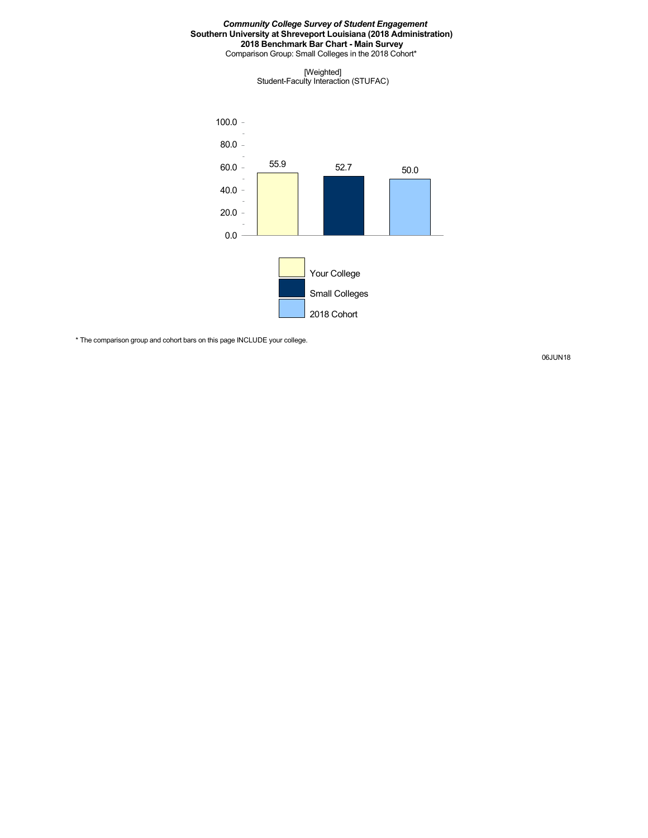Comparison Group: Small Colleges in the 2018 Cohort\*

[Weighted] Student-Faculty Interaction (STUFAC)



\* The comparison group and cohort bars on this page INCLUDE your college.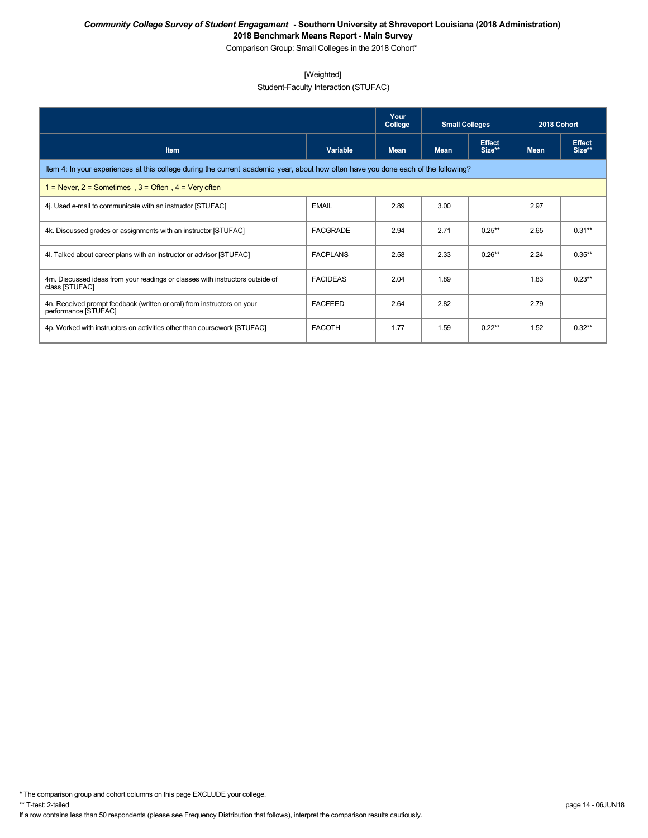Comparison Group: Small Colleges in the 2018 Cohort\*

### [Weighted]

Student-Faculty Interaction (STUFAC)

|                                                                                                                                    |                 | Your<br>College | <b>Small Colleges</b> |                         | 2018 Cohort |                         |  |  |  |  |
|------------------------------------------------------------------------------------------------------------------------------------|-----------------|-----------------|-----------------------|-------------------------|-------------|-------------------------|--|--|--|--|
| <b>Item</b>                                                                                                                        | Variable        | <b>Mean</b>     | <b>Mean</b>           | <b>Effect</b><br>Size** | <b>Mean</b> | <b>Effect</b><br>Size** |  |  |  |  |
| Item 4: In your experiences at this college during the current academic year, about how often have you done each of the following? |                 |                 |                       |                         |             |                         |  |  |  |  |
| = Never, $2$ = Sometimes, $3$ = Often, $4$ = Very often                                                                            |                 |                 |                       |                         |             |                         |  |  |  |  |
| 4. Used e-mail to communicate with an instructor [STUFAC]                                                                          | <b>EMAIL</b>    | 2.89            | 3.00                  |                         | 2.97        |                         |  |  |  |  |
| 4k. Discussed grades or assignments with an instructor [STUFAC]                                                                    | FACGRADE        | 2.94            | 2.71                  | $0.25**$                | 2.65        | $0.31***$               |  |  |  |  |
| 4. Talked about career plans with an instructor or advisor [STUFAC]                                                                | <b>FACPLANS</b> | 2.58            | 2.33                  | $0.26**$                | 2.24        | $0.35***$               |  |  |  |  |
| 4m. Discussed ideas from your readings or classes with instructors outside of<br>class [STUFAC]                                    | <b>FACIDEAS</b> | 2.04            | 1.89                  |                         | 1.83        | $0.23**$                |  |  |  |  |
| 4n. Received prompt feedback (written or oral) from instructors on your<br>performance [STUFAC]                                    | <b>FACFEED</b>  | 2.64            | 2.82                  |                         | 2.79        |                         |  |  |  |  |
| 4p. Worked with instructors on activities other than coursework [STUFAC]                                                           | <b>FACOTH</b>   | 1.77            | 1.59                  | $0.22**$                | 1.52        | $0.32**$                |  |  |  |  |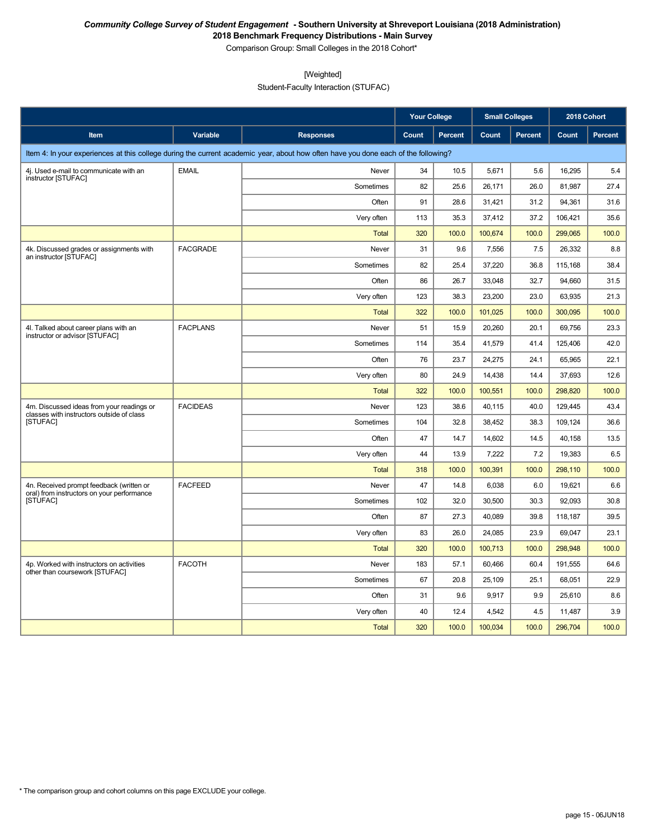Comparison Group: Small Colleges in the 2018 Cohort\*

[Weighted]

Student-Faculty Interaction (STUFAC)

|                                                                                        |                 |                                                                                                                                    | <b>Your College</b> |                | <b>Small Colleges</b> |                | 2018 Cohort |         |
|----------------------------------------------------------------------------------------|-----------------|------------------------------------------------------------------------------------------------------------------------------------|---------------------|----------------|-----------------------|----------------|-------------|---------|
| Item                                                                                   | Variable        | <b>Responses</b>                                                                                                                   | Count               | <b>Percent</b> | Count                 | <b>Percent</b> | Count       | Percent |
|                                                                                        |                 | Item 4: In your experiences at this college during the current academic year, about how often have you done each of the following? |                     |                |                       |                |             |         |
| 4j. Used e-mail to communicate with an                                                 | <b>EMAIL</b>    | Never                                                                                                                              | 34                  | 10.5           | 5,671                 | 5.6            | 16,295      | 5.4     |
| instructor [STUFAC]                                                                    |                 | Sometimes                                                                                                                          | 82                  | 25.6           | 26,171                | 26.0           | 81,987      | 27.4    |
|                                                                                        |                 | Often                                                                                                                              | 91                  | 28.6           | 31,421                | 31.2           | 94,361      | 31.6    |
|                                                                                        |                 | Very often                                                                                                                         | 113                 | 35.3           | 37,412                | 37.2           | 106,421     | 35.6    |
|                                                                                        |                 | <b>Total</b>                                                                                                                       | 320                 | 100.0          | 100,674               | 100.0          | 299,065     | 100.0   |
| 4k. Discussed grades or assignments with<br>an instructor [STUFAC]                     | <b>FACGRADE</b> | Never                                                                                                                              | 31                  | 9.6            | 7,556                 | 7.5            | 26,332      | 8.8     |
|                                                                                        |                 | Sometimes                                                                                                                          | 82                  | 25.4           | 37,220                | 36.8           | 115,168     | 38.4    |
|                                                                                        |                 | Often                                                                                                                              | 86                  | 26.7           | 33,048                | 32.7           | 94,660      | 31.5    |
|                                                                                        |                 | Very often                                                                                                                         | 123                 | 38.3           | 23,200                | 23.0           | 63,935      | 21.3    |
|                                                                                        |                 | <b>Total</b>                                                                                                                       | 322                 | 100.0          | 101,025               | 100.0          | 300,095     | 100.0   |
| 4I. Talked about career plans with an<br>instructor or advisor [STUFAC]                | <b>FACPLANS</b> | Never                                                                                                                              | 51                  | 15.9           | 20,260                | 20.1           | 69,756      | 23.3    |
|                                                                                        |                 | Sometimes                                                                                                                          | 114                 | 35.4           | 41,579                | 41.4           | 125,406     | 42.0    |
|                                                                                        |                 | Often                                                                                                                              | 76                  | 23.7           | 24,275                | 24.1           | 65,965      | 22.1    |
|                                                                                        |                 | Very often                                                                                                                         | 80                  | 24.9           | 14,438                | 14.4           | 37,693      | 12.6    |
|                                                                                        |                 | <b>Total</b>                                                                                                                       | 322                 | 100.0          | 100,551               | 100.0          | 298,820     | 100.0   |
| 4m. Discussed ideas from your readings or<br>classes with instructors outside of class | <b>FACIDEAS</b> | Never                                                                                                                              | 123                 | 38.6           | 40,115                | 40.0           | 129,445     | 43.4    |
| <b>ISTUFACI</b>                                                                        |                 | Sometimes                                                                                                                          | 104                 | 32.8           | 38,452                | 38.3           | 109,124     | 36.6    |
|                                                                                        |                 | Often                                                                                                                              | 47                  | 14.7           | 14,602                | 14.5           | 40,158      | 13.5    |
|                                                                                        |                 | Very often                                                                                                                         | 44                  | 13.9           | 7,222                 | 7.2            | 19,383      | 6.5     |
|                                                                                        |                 | <b>Total</b>                                                                                                                       | 318                 | 100.0          | 100,391               | 100.0          | 298,110     | 100.0   |
| 4n. Received prompt feedback (written or<br>oral) from instructors on your performance | <b>FACFEED</b>  | Never                                                                                                                              | 47                  | 14.8           | 6,038                 | 6.0            | 19,621      | 6.6     |
| [STUFAC]                                                                               |                 | Sometimes                                                                                                                          | 102                 | 32.0           | 30,500                | 30.3           | 92,093      | 30.8    |
|                                                                                        |                 | Often                                                                                                                              | 87                  | 27.3           | 40,089                | 39.8           | 118,187     | 39.5    |
|                                                                                        |                 | Very often                                                                                                                         | 83                  | 26.0           | 24,085                | 23.9           | 69,047      | 23.1    |
|                                                                                        |                 | <b>Total</b>                                                                                                                       | 320                 | 100.0          | 100,713               | 100.0          | 298,948     | 100.0   |
| 4p. Worked with instructors on activities                                              | <b>FACOTH</b>   | Never                                                                                                                              | 183                 | 57.1           | 60,466                | 60.4           | 191,555     | 64.6    |
| other than coursework [STUFAC]                                                         |                 | Sometimes                                                                                                                          | 67                  | 20.8           | 25,109                | 25.1           | 68,051      | 22.9    |
|                                                                                        |                 | Often                                                                                                                              | 31                  | 9.6            | 9,917                 | 9.9            | 25,610      | 8.6     |
|                                                                                        |                 | Very often                                                                                                                         | 40                  | 12.4           | 4,542                 | 4.5            | 11,487      | 3.9     |
|                                                                                        |                 | Total                                                                                                                              | 320                 | 100.0          | 100,034               | 100.0          | 296,704     | 100.0   |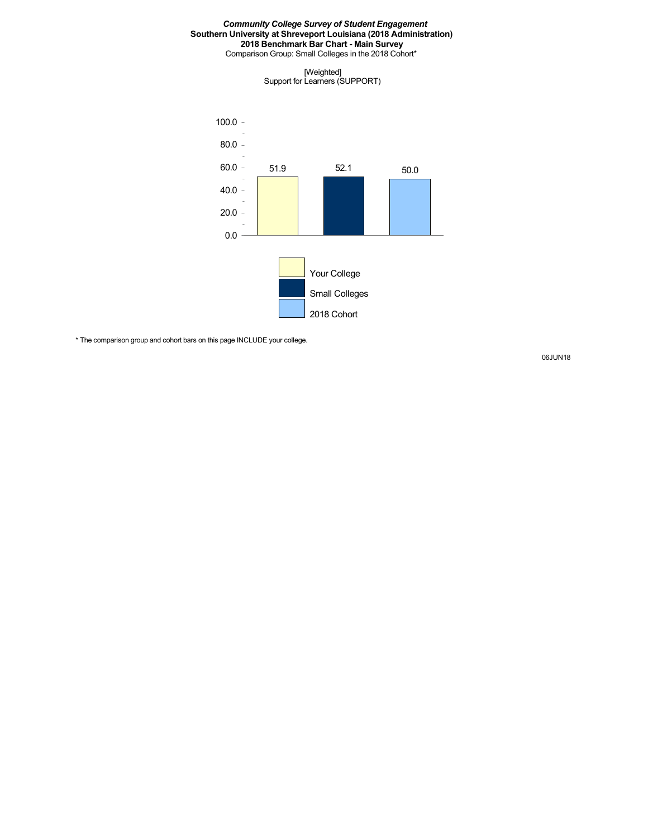Comparison Group: Small Colleges in the 2018 Cohort\*

[Weighted] Support for Learners (SUPPORT)



\* The comparison group and cohort bars on this page INCLUDE your college.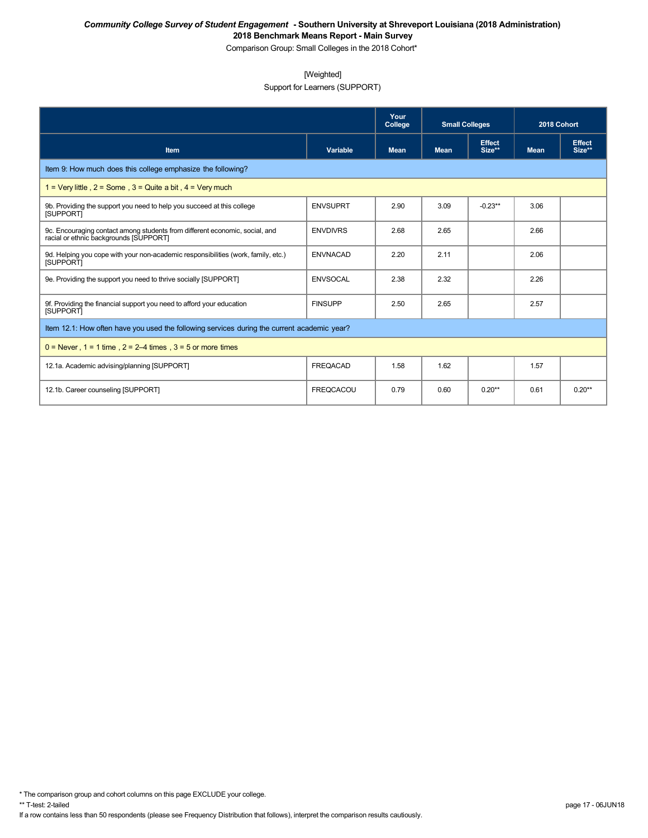Comparison Group: Small Colleges in the 2018 Cohort\*

### [Weighted]

Support for Learners (SUPPORT)

|                                                                                                                       |                  | Your<br>College | <b>Small Colleges</b> |                  | 2018 Cohort |                         |
|-----------------------------------------------------------------------------------------------------------------------|------------------|-----------------|-----------------------|------------------|-------------|-------------------------|
| Item                                                                                                                  | Variable         | <b>Mean</b>     | <b>Mean</b>           | Effect<br>Size** | <b>Mean</b> | <b>Effect</b><br>Size** |
| Item 9: How much does this college emphasize the following?                                                           |                  |                 |                       |                  |             |                         |
| 1 = Very little, $2 =$ Some, $3 =$ Quite a bit, $4 =$ Very much                                                       |                  |                 |                       |                  |             |                         |
| 9b. Providing the support you need to help you succeed at this college<br><b>ISUPPORTI</b>                            | <b>ENVSUPRT</b>  | 2.90            | 3.09                  | $-0.23**$        | 3.06        |                         |
| 9c. Encouraging contact among students from different economic, social, and<br>racial or ethnic backgrounds [SUPPORT] | <b>ENVDIVRS</b>  | 2.68            | 2.65                  |                  | 2.66        |                         |
| 9d. Helping you cope with your non-academic responsibilities (work, family, etc.)<br><b>ISUPPORTI</b>                 | <b>ENVNACAD</b>  | 2.20            | 2.11                  |                  | 2.06        |                         |
| 9e. Providing the support you need to thrive socially [SUPPORT]                                                       | <b>ENVSOCAL</b>  | 2.38            | 2.32                  |                  | 2.26        |                         |
| 9f. Providing the financial support you need to afford your education<br><b>ISUPPORTI</b>                             | <b>FINSUPP</b>   | 2.50            | 2.65                  |                  | 2.57        |                         |
| Item 12.1: How often have you used the following services during the current academic year?                           |                  |                 |                       |                  |             |                         |
| $0 =$ Never, $1 = 1$ time, $2 = 2-4$ times, $3 = 5$ or more times                                                     |                  |                 |                       |                  |             |                         |
| 12.1a. Academic advising/planning [SUPPORT]                                                                           | <b>FREQACAD</b>  | 1.58            | 1.62                  |                  | 1.57        |                         |
| 12.1b. Career counseling [SUPPORT]                                                                                    | <b>FREQCACOU</b> | 0.79            | 0.60                  | $0.20**$         | 0.61        | $0.20**$                |